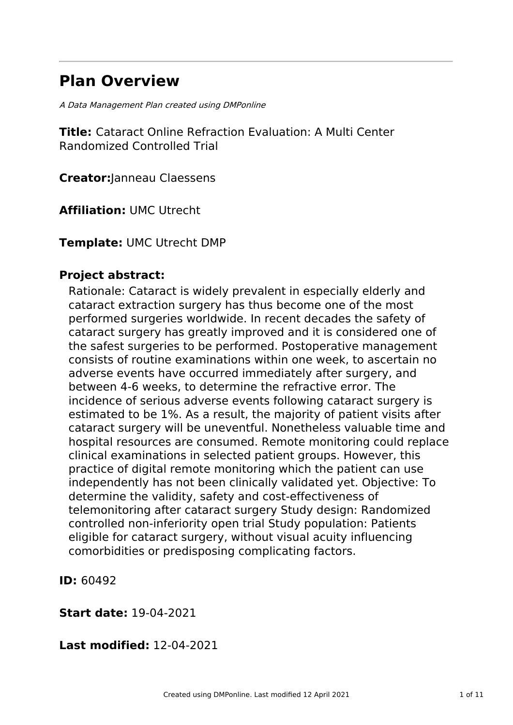# **Plan Overview**

A Data Management Plan created using DMPonline

**Title:** Cataract Online Refraction Evaluation: A Multi Center Randomized Controlled Trial

**Creator:**Janneau Claessens

**Affiliation:** UMC Utrecht

**Template:** UMC Utrecht DMP

### **Project abstract:**

Rationale: Cataract is widely prevalent in especially elderly and cataract extraction surgery has thus become one of the most performed surgeries worldwide. In recent decades the safety of cataract surgery has greatly improved and it is considered one of the safest surgeries to be performed. Postoperative management consists of routine examinations within one week, to ascertain no adverse events have occurred immediately after surgery, and between 4-6 weeks, to determine the refractive error. The incidence of serious adverse events following cataract surgery is estimated to be 1%. As a result, the majority of patient visits after cataract surgery will be uneventful. Nonetheless valuable time and hospital resources are consumed. Remote monitoring could replace clinical examinations in selected patient groups. However, this practice of digital remote monitoring which the patient can use independently has not been clinically validated yet. Objective: To determine the validity, safety and cost-effectiveness of telemonitoring after cataract surgery Study design: Randomized controlled non-inferiority open trial Study population: Patients eligible for cataract surgery, without visual acuity influencing comorbidities or predisposing complicating factors.

**ID:** 60492

**Start date:** 19-04-2021

**Last modified:** 12-04-2021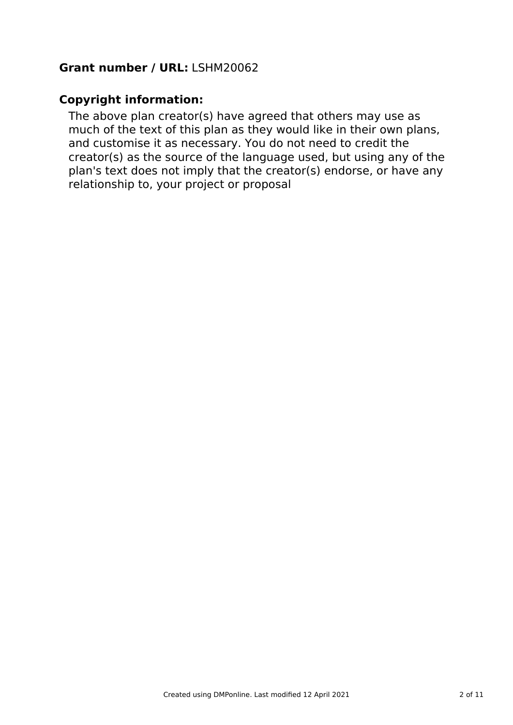### **Grant number / URL:** LSHM20062

### **Copyright information:**

The above plan creator(s) have agreed that others may use as much of the text of this plan as they would like in their own plans, and customise it as necessary. You do not need to credit the creator(s) as the source of the language used, but using any of the plan's text does not imply that the creator(s) endorse, or have any relationship to, your project or proposal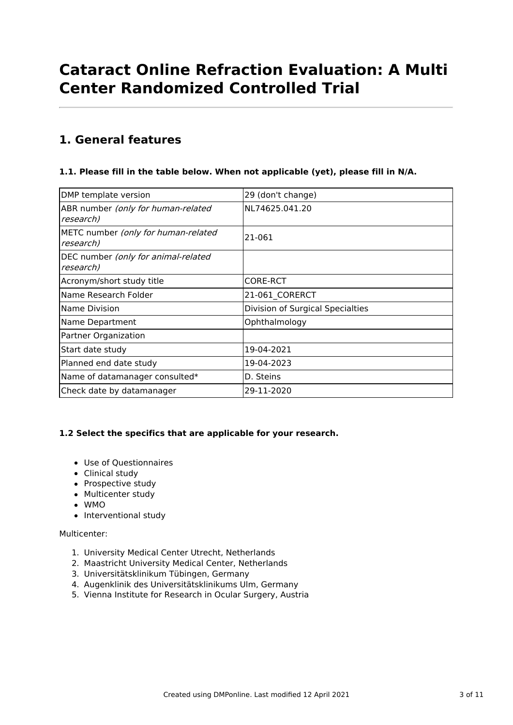# **Cataract Online Refraction Evaluation: A Multi Center Randomized Controlled Trial**

## **1. General features**

### **1.1. Please fill in the table below. When not applicable (yet), please fill in N/A.**

| DMP template version                             | 29 (don't change)                |
|--------------------------------------------------|----------------------------------|
| ABR number (only for human-related<br>research)  | NL74625.041.20                   |
| METC number (only for human-related<br>research) | 21-061                           |
| DEC number (only for animal-related<br>research) |                                  |
| Acronym/short study title                        | <b>CORE-RCT</b>                  |
| Name Research Folder                             | 21-061 CORERCT                   |
| Name Division                                    | Division of Surgical Specialties |
| Name Department                                  | Ophthalmology                    |
| Partner Organization                             |                                  |
| Start date study                                 | 19-04-2021                       |
| Planned end date study                           | 19-04-2023                       |
| Name of datamanager consulted*                   | D. Steins                        |
| Check date by datamanager                        | 29-11-2020                       |

### **1.2 Select the specifics that are applicable for your research.**

- Use of Questionnaires
- Clinical study
- Prospective study
- Multicenter study
- WMO
- Interventional study

### Multicenter:

- 1. University Medical Center Utrecht, Netherlands
- 2. Maastricht University Medical Center, Netherlands
- 3. Universitätsklinikum Tübingen, Germany
- 4. Augenklinik des Universitätsklinikums Ulm, Germany
- 5. Vienna Institute for Research in Ocular Surgery, Austria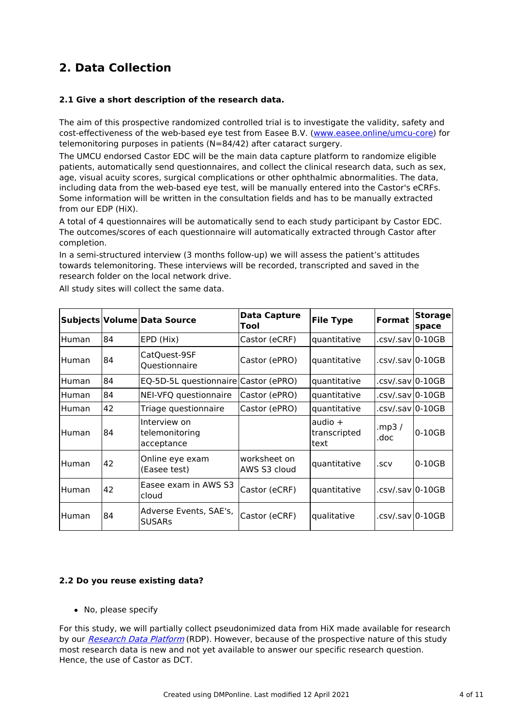# **2. Data Collection**

### **2.1 Give a short description of the research data.**

The aim of this prospective randomized controlled trial is to investigate the validity, safety and cost-effectiveness of the web-based eye test from Easee B.V. [\(www.easee.online/umcu-core](http://www.easee.online/umcu-core)) for telemonitoring purposes in patients (N=84/42) after cataract surgery.

The UMCU endorsed Castor EDC will be the main data capture platform to randomize eligible patients, automatically send questionnaires, and collect the clinical research data, such as sex, age, visual acuity scores, surgical complications or other ophthalmic abnormalities. The data, including data from the web-based eye test, will be manually entered into the Castor's eCRFs. Some information will be written in the consultation fields and has to be manually extracted from our EDP (HiX).

A total of 4 questionnaires will be automatically send to each study participant by Castor EDC. The outcomes/scores of each questionnaire will automatically extracted through Castor after completion.

In a semi-structured interview (3 months follow-up) we will assess the patient's attitudes towards telemonitoring. These interviews will be recorded, transcripted and saved in the research folder on the local network drive.

|         |    | Subjects Volume Data Source                  | <b>Data Capture</b><br>Tool  | <b>File Type</b>                  | <b>Format</b>    | <b>Storage</b><br>space |
|---------|----|----------------------------------------------|------------------------------|-----------------------------------|------------------|-------------------------|
| Human   | 84 | EPD (Hix)                                    | Castor (eCRF)                | quantitative                      | .csv/.sav 0-10GB |                         |
| Human   | 84 | CatQuest-9SF<br>Questionnaire                | Castor (ePRO)                | quantitative                      | .csv/.sav 0-10GB |                         |
| Human   | 84 | EQ-5D-5L questionnaire Castor (ePRO)         |                              | quantitative                      | .csv/.sav 0-10GB |                         |
| l Human | 84 | NEI-VFQ questionnaire                        | Castor (ePRO)                | quantitative                      | .csv/.sav 0-10GB |                         |
| Human   | 42 | Triage questionnaire                         | Castor (ePRO)                | quantitative                      | .csv/.sav 0-10GB |                         |
| Human   | 84 | Interview on<br>telemonitoring<br>acceptance |                              | audio $+$<br>transcripted<br>text | .mp3 /<br>.doc   | $0-10GB$                |
| Human   | 42 | Online eye exam<br>(Easee test)              | worksheet on<br>AWS S3 cloud | quantitative                      | .SCV             | $0-10GB$                |
| Human   | 42 | Easee exam in AWS S3<br>cloud                | Castor (eCRF)                | quantitative                      | .csv/.sav 0-10GB |                         |
| Human   | 84 | Adverse Events, SAE's,<br><b>SUSARs</b>      | Castor (eCRF)                | qualitative                       | .csv/.sav 0-10GB |                         |

All study sites will collect the same data.

### **2.2 Do you reuse existing data?**

• No, please specify

For this study, we will partially collect pseudonimized data from HiX made available for research by our [Research](https://team.mijnumc.nl/connect/DIT/Alles over software en systemen/Paginas/Research-Data-Platform.aspx) Data Platform (RDP). However, because of the prospective nature of this study most research data is new and not yet available to answer our specific research question. Hence, the use of Castor as DCT.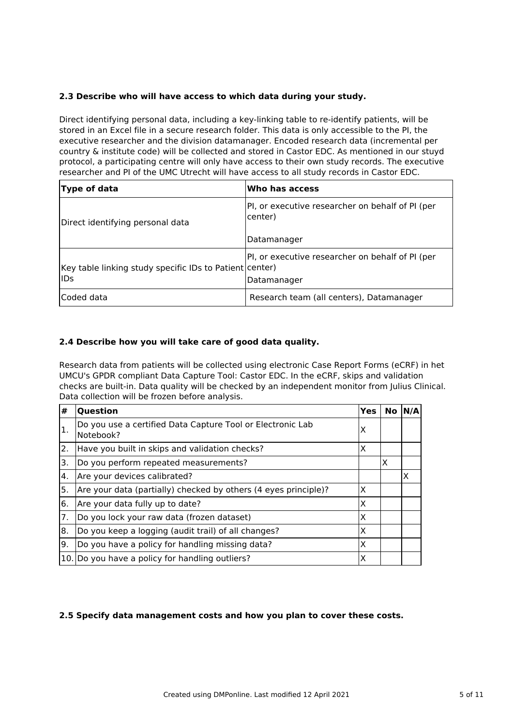### **2.3 Describe who will have access to which data during your study.**

Direct identifying personal data, including a key-linking table to re-identify patients, will be stored in an Excel file in a secure research folder. This data is only accessible to the PI, the executive researcher and the division datamanager. Encoded research data (incremental per country & institute code) will be collected and stored in Castor EDC. As mentioned in our stuyd protocol, a participating centre will only have access to their own study records. The executive researcher and PI of the UMC Utrecht will have access to all study records in Castor EDC.

| Type of data                                                          | Who has access                                                  |
|-----------------------------------------------------------------------|-----------------------------------------------------------------|
| Direct identifying personal data                                      | PI, or executive researcher on behalf of PI (per<br>center)     |
|                                                                       | Datamanager                                                     |
| Key table linking study specific IDs to Patient center)<br><b>IDs</b> | PI, or executive researcher on behalf of PI (per<br>Datamanager |
| Coded data                                                            | Research team (all centers), Datamanager                        |

### **2.4 Describe how you will take care of good data quality.**

Research data from patients will be collected using electronic Case Report Forms (eCRF) in het UMCU's GPDR compliant Data Capture Tool: Castor EDC. In the eCRF, skips and validation checks are built-in. Data quality will be checked by an independent monitor from Julius Clinical. Data collection will be frozen before analysis.  $\sim 10^{-1}$  $\sim 10$ 

| #  | <b>Ouestion</b>                                                         | Yes | No | N/A |
|----|-------------------------------------------------------------------------|-----|----|-----|
| 1. | Do you use a certified Data Capture Tool or Electronic Lab<br>Notebook? | X   |    |     |
| 2. | Have you built in skips and validation checks?                          | X   |    |     |
| 3. | Do you perform repeated measurements?                                   |     | x  |     |
| 4. | Are your devices calibrated?                                            |     |    | X   |
| 5. | Are your data (partially) checked by others (4 eyes principle)?         | X   |    |     |
| 6. | Are your data fully up to date?                                         | X   |    |     |
| 7. | Do you lock your raw data (frozen dataset)                              | X   |    |     |
| 8. | Do you keep a logging (audit trail) of all changes?                     | X   |    |     |
| 9. | Do you have a policy for handling missing data?                         | X   |    |     |
|    | 10. Do you have a policy for handling outliers?                         | X   |    |     |

### **2.5 Specify data management costs and how you plan to cover these costs.**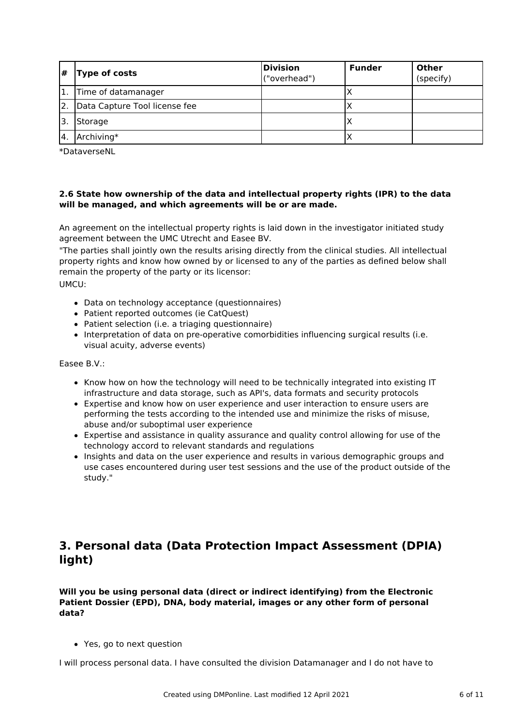| #            | <b>Type of costs</b>          | Division<br>("overhead") | <b>Funder</b> | <b>Other</b><br>(specify) |
|--------------|-------------------------------|--------------------------|---------------|---------------------------|
| 1.           | Time of datamanager           |                          |               |                           |
| 2.           | Data Capture Tool license fee |                          | ⌒             |                           |
|              | Storage                       |                          | ↗             |                           |
| <sup>4</sup> | Archiving*                    |                          |               |                           |

\*DataverseNL

### **2.6 State how ownership of the data and intellectual property rights (IPR) to the data will be managed, and which agreements will be or are made.**

An agreement on the intellectual property rights is laid down in the investigator initiated study agreement between the UMC Utrecht and Easee BV.

"The parties shall jointly own the results arising directly from the clinical studies. All intellectual property rights and know how owned by or licensed to any of the parties as defined below shall remain the property of the party or its licensor: UMCU:

- Data on technology acceptance (questionnaires)
- Patient reported outcomes (ie CatQuest)
- Patient selection (i.e. a triaging questionnaire)
- Interpretation of data on pre-operative comorbidities influencing surgical results (i.e. visual acuity, adverse events)

Easee B.V.:

- Know how on how the technology will need to be technically integrated into existing IT infrastructure and data storage, such as API's, data formats and security protocols
- Expertise and know how on user experience and user interaction to ensure users are performing the tests according to the intended use and minimize the risks of misuse, abuse and/or suboptimal user experience
- Expertise and assistance in quality assurance and quality control allowing for use of the technology accord to relevant standards and regulations
- Insights and data on the user experience and results in various demographic groups and use cases encountered during user test sessions and the use of the product outside of the study."

### **3. Personal data (Data Protection Impact Assessment (DPIA) light)**

**Will you be using personal data (direct or indirect identifying) from the Electronic Patient Dossier (EPD), DNA, body material, images or any other form of personal data?**

Yes, go to next question

I will process personal data. I have consulted the division Datamanager and I do not have to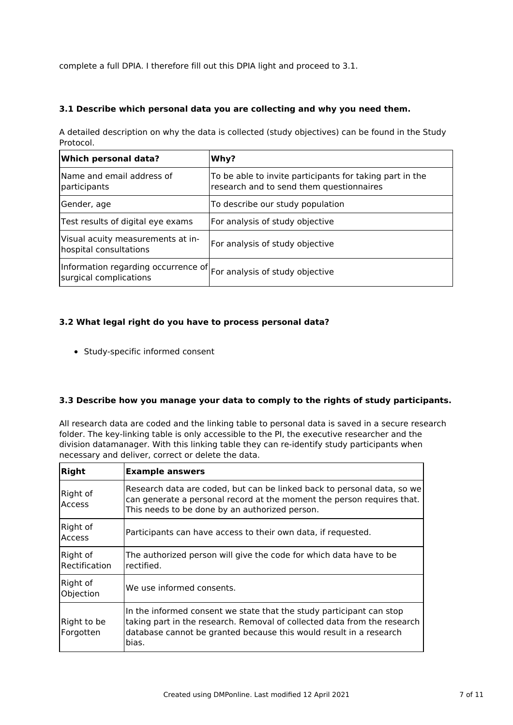complete a full DPIA. I therefore fill out this DPIA light and proceed to 3.1.

### **3.1 Describe which personal data you are collecting and why you need them.**

A detailed description on why the data is collected (study objectives) can be found in the Study Protocol.

| <b>Which personal data?</b>                                                                                | Why?                                                                                                 |
|------------------------------------------------------------------------------------------------------------|------------------------------------------------------------------------------------------------------|
| Name and email address of<br>participants                                                                  | To be able to invite participants for taking part in the<br>research and to send them questionnaires |
| Gender, age                                                                                                | To describe our study population                                                                     |
| Test results of digital eye exams                                                                          | For analysis of study objective                                                                      |
| Visual acuity measurements at in-<br>hospital consultations                                                | For analysis of study objective                                                                      |
| Information regarding occurrence of $ F_{\text{O}} $ analysis of study objective<br>surgical complications |                                                                                                      |

### **3.2 What legal right do you have to process personal data?**

Study-specific informed consent

### **3.3 Describe how you manage your data to comply to the rights of study participants.**

All research data are coded and the linking table to personal data is saved in a secure research folder. The key-linking table is only accessible to the PI, the executive researcher and the division datamanager. With this linking table they can re-identify study participants when necessary and deliver, correct or delete the data.

| <b>Right</b>              | <b>Example answers</b>                                                                                                                                                                                                          |
|---------------------------|---------------------------------------------------------------------------------------------------------------------------------------------------------------------------------------------------------------------------------|
| Right of<br><b>Access</b> | Research data are coded, but can be linked back to personal data, so we<br>can generate a personal record at the moment the person requires that.<br>This needs to be done by an authorized person.                             |
| Right of<br><b>Access</b> | Participants can have access to their own data, if requested.                                                                                                                                                                   |
| Right of<br>Rectification | The authorized person will give the code for which data have to be<br>rectified.                                                                                                                                                |
| Right of<br>Objection     | We use informed consents.                                                                                                                                                                                                       |
| Right to be<br>Forgotten  | In the informed consent we state that the study participant can stop<br>taking part in the research. Removal of collected data from the research<br>database cannot be granted because this would result in a research<br>bias. |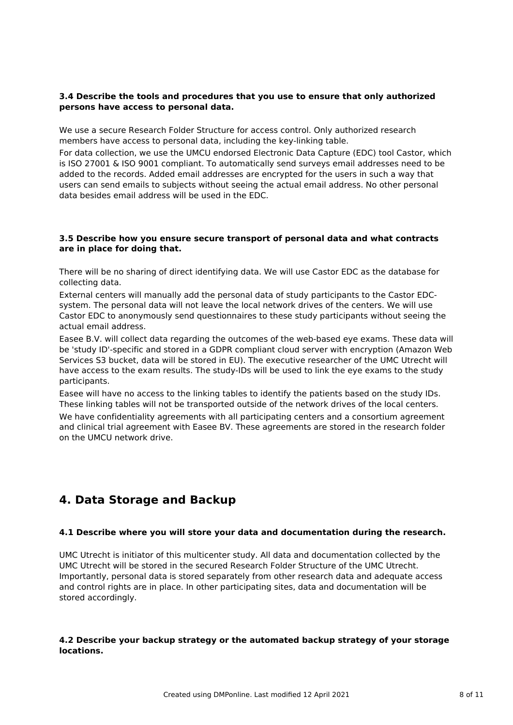### **3.4 Describe the tools and procedures that you use to ensure that only authorized persons have access to personal data.**

We use a secure Research Folder Structure for access control. Only authorized research members have access to personal data, including the key-linking table.

For data collection, we use the UMCU endorsed Electronic Data Capture (EDC) tool Castor, which is ISO 27001 & ISO 9001 compliant. To automatically send surveys email addresses need to be added to the records. Added email addresses are encrypted for the users in such a way that users can send emails to subjects without seeing the actual email address. No other personal data besides email address will be used in the EDC.

### **3.5 Describe how you ensure secure transport of personal data and what contracts are in place for doing that.**

There will be no sharing of direct identifying data. We will use Castor EDC as the database for collecting data.

External centers will manually add the personal data of study participants to the Castor EDCsystem. The personal data will not leave the local network drives of the centers. We will use Castor EDC to anonymously send questionnaires to these study participants without seeing the actual email address.

Easee B.V. will collect data regarding the outcomes of the web-based eye exams. These data will be 'study ID'-specific and stored in a GDPR compliant cloud server with encryption (Amazon Web Services S3 bucket, data will be stored in EU). The executive researcher of the UMC Utrecht will have access to the exam results. The study-IDs will be used to link the eye exams to the study participants.

Easee will have no access to the linking tables to identify the patients based on the study IDs. These linking tables will not be transported outside of the network drives of the local centers. We have confidentiality agreements with all participating centers and a consortium agreement and clinical trial agreement with Easee BV. These agreements are stored in the research folder on the UMCU network drive.

### **4. Data Storage and Backup**

### **4.1 Describe where you will store your data and documentation during the research.**

UMC Utrecht is initiator of this multicenter study. All data and documentation collected by the UMC Utrecht will be stored in the secured Research Folder Structure of the UMC Utrecht. Importantly, personal data is stored separately from other research data and adequate access and control rights are in place. In other participating sites, data and documentation will be stored accordingly.

### **4.2 Describe your backup strategy or the automated backup strategy of your storage locations.**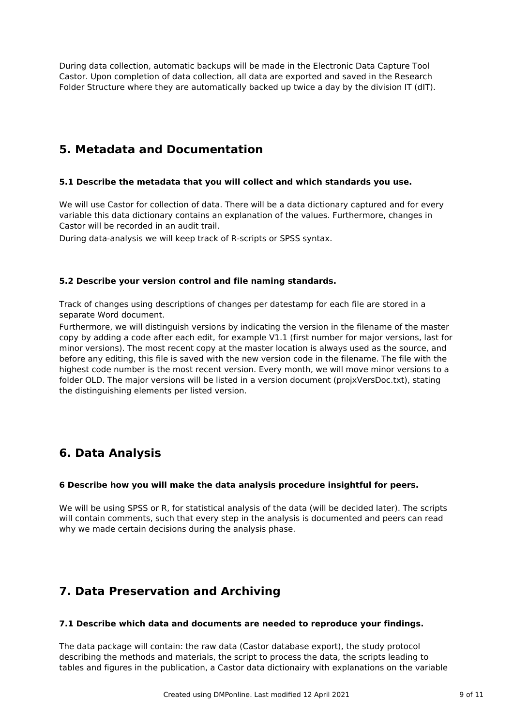During data collection, automatic backups will be made in the Electronic Data Capture Tool Castor. Upon completion of data collection, all data are exported and saved in the Research Folder Structure where they are automatically backed up twice a day by the division IT (dIT).

### **5. Metadata and Documentation**

### **5.1 Describe the metadata that you will collect and which standards you use.**

We will use Castor for collection of data. There will be a data dictionary captured and for every variable this data dictionary contains an explanation of the values. Furthermore, changes in Castor will be recorded in an audit trail.

During data-analysis we will keep track of R-scripts or SPSS syntax.

### **5.2 Describe your version control and file naming standards.**

Track of changes using descriptions of changes per datestamp for each file are stored in a separate Word document.

Furthermore, we will distinguish versions by indicating the version in the filename of the master copy by adding a code after each edit, for example V1.1 (first number for major versions, last for minor versions). The most recent copy at the master location is always used as the source, and before any editing, this file is saved with the new version code in the filename. The file with the highest code number is the most recent version. Every month, we will move minor versions to a folder OLD. The major versions will be listed in a version document (projxVersDoc.txt), stating the distinguishing elements per listed version.

### **6. Data Analysis**

### **6 Describe how you will make the data analysis procedure insightful for peers.**

We will be using SPSS or R, for statistical analysis of the data (will be decided later). The scripts will contain comments, such that every step in the analysis is documented and peers can read why we made certain decisions during the analysis phase.

## **7. Data Preservation and Archiving**

### **7.1 Describe which data and documents are needed to reproduce your findings.**

The data package will contain: the raw data (Castor database export), the study protocol describing the methods and materials, the script to process the data, the scripts leading to tables and figures in the publication, a Castor data dictionairy with explanations on the variable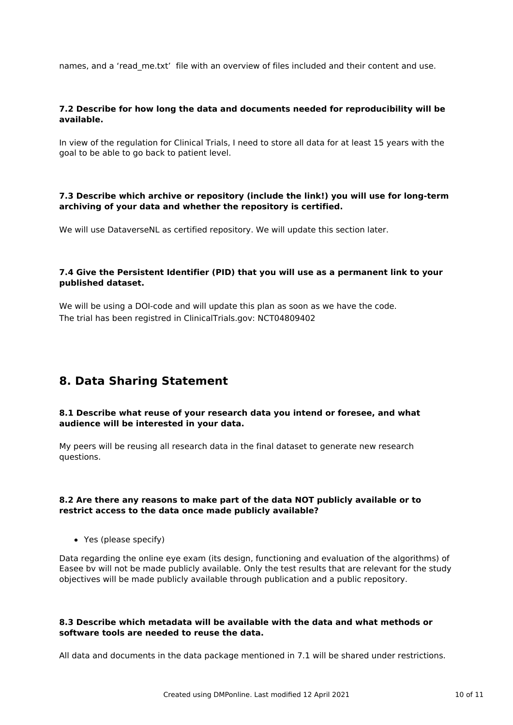names, and a 'read me.txt' file with an overview of files included and their content and use.

### **7.2 Describe for how long the data and documents needed for reproducibility will be available.**

In view of the regulation for Clinical Trials, I need to store all data for at least 15 years with the goal to be able to go back to patient level.

### **7.3 Describe which archive or repository (include the link!) you will use for long-term archiving of your data and whether the repository is certified.**

We will use DataverseNL as certified repository. We will update this section later.

### **7.4 Give the Persistent Identifier (PID) that you will use as a permanent link to your published dataset.**

We will be using a DOI-code and will update this plan as soon as we have the code. The trial has been registred in ClinicalTrials.gov: NCT04809402

### **8. Data Sharing Statement**

#### **8.1 Describe what reuse of your research data you intend or foresee, and what audience will be interested in your data.**

My peers will be reusing all research data in the final dataset to generate new research questions.

#### **8.2 Are there any reasons to make part of the data NOT publicly available or to restrict access to the data once made publicly available?**

Yes (please specify)

Data regarding the online eye exam (its design, functioning and evaluation of the algorithms) of Easee bv will not be made publicly available. Only the test results that are relevant for the study objectives will be made publicly available through publication and a public repository.

### **8.3 Describe which metadata will be available with the data and what methods or software tools are needed to reuse the data.**

All data and documents in the data package mentioned in 7.1 will be shared under restrictions.